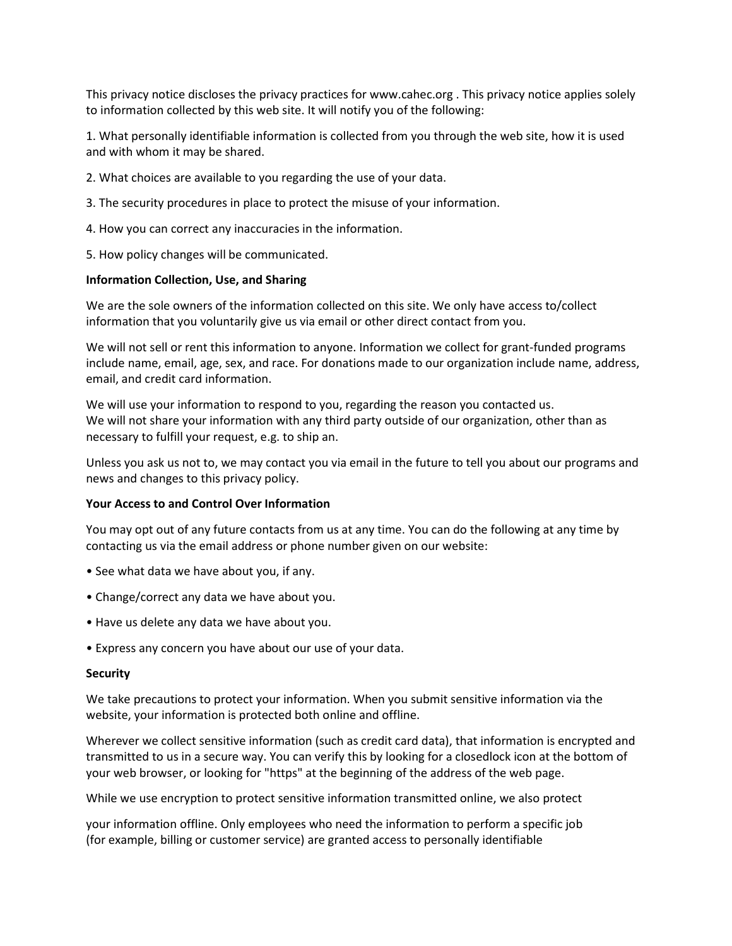This privacy notice discloses the privacy practices for www.cahec.org . This privacy notice applies solely to information collected by this web site. It will notify you of the following:

1. What personally identifiable information is collected from you through the web site, how it is used and with whom it may be shared.

- 2. What choices are available to you regarding the use of your data.
- 3. The security procedures in place to protect the misuse of your information.
- 4. How you can correct any inaccuracies in the information.
- 5. How policy changes will be communicated.

## Information Collection, Use, and Sharing

We are the sole owners of the information collected on this site. We only have access to/collect information that you voluntarily give us via email or other direct contact from you.

We will not sell or rent this information to anyone. Information we collect for grant-funded programs include name, email, age, sex, and race. For donations made to our organization include name, address, email, and credit card information.

We will use your information to respond to you, regarding the reason you contacted us. We will not share your information with any third party outside of our organization, other than as necessary to fulfill your request, e.g. to ship an.

Unless you ask us not to, we may contact you via email in the future to tell you about our programs and news and changes to this privacy policy.

## Your Access to and Control Over Information

You may opt out of any future contacts from us at any time. You can do the following at any time by contacting us via the email address or phone number given on our website:

- See what data we have about you, if any.
- Change/correct any data we have about you.
- Have us delete any data we have about you.
- Express any concern you have about our use of your data.

## **Security**

We take precautions to protect your information. When you submit sensitive information via the website, your information is protected both online and offline.

Wherever we collect sensitive information (such as credit card data), that information is encrypted and transmitted to us in a secure way. You can verify this by looking for a closedlock icon at the bottom of your web browser, or looking for "https" at the beginning of the address of the web page.

While we use encryption to protect sensitive information transmitted online, we also protect

your information offline. Only employees who need the information to perform a specific job (for example, billing or customer service) are granted access to personally identifiable